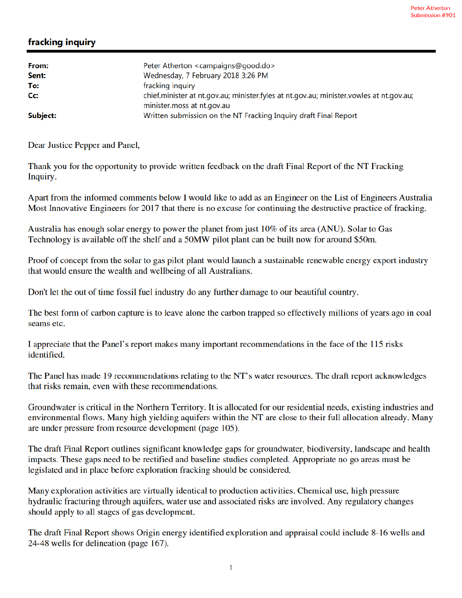## fracking inquiry

| From:<br>Sent: | Peter Atherton <campaigns@good.do><br/>Wednesday, 7 February 2018 3:26 PM</campaigns@good.do>                                             |
|----------------|-------------------------------------------------------------------------------------------------------------------------------------------|
| To:<br>Cc:     | fracking inquiry<br>chief.minister at nt.gov.au; minister.fyles at nt.gov.au; minister.vowles at nt.gov.au;<br>minister.moss at nt.gov.au |
| Subject:       | Written submission on the NT Fracking Inquiry draft Final Report                                                                          |

Dear Justice Pepper and Panel,

Thank you for the opportunity to provide written feedback on the draft Final Report of the NT Fracking Inquiry.

Apart from the informed comments below I would like to add as an Engineer on the List of Engineers Australia Most Innovative Engineers for 2017 that there is no excuse for continuing the destructive practice of fracking.

Australia has enough solar energy to power the planet from just 10% of its area (ANU). Solar to Gas Technology is available off the shelf and a 50MW pilot plant can be built now for around \$50m.

Proof of concept from the solar to gas pilot plant would launch a sustainable renewable energy export industry that would ensure the wealth and wellbeing of all Australians.

Don't let the out of time fossil fuel industry do any further damage to our beautiful country.

The best form of carbon capture is to leave alone the carbon trapped so effectively millions of years ago in coal seams etc.

I appreciate that the Panel's report makes many important recommendations in the face of the 115 risks identified.

The Panel has made 19 recommendations relating to the NT's water resources. The draft report acknowledges that risks remain, even with these recommendations.

Groundwater is critical in the Northern Territory. It is allocated for our residential needs, existing industries and environmental flows. Many high yielding aquifers within the NT are close to their full allocation already. Many are under pressure from resource development (page 105).

The draft Final Report outlines significant knowledge gaps for groundwater, biodiversity, landscape and health impacts. These gaps need to be rectified and baseline studies completed. Appropriate no go areas must be legislated and in place before exploration fracking should be considered.

Many exploration activities are virtually identical to production activities. Chemical use, high pressure hydraulic fracturing through aquifers, water use and associated risks are involved. Any regulatory changes should apply to all stages of gas development.

The draft Final Report shows Origin energy identified exploration and appraisal could include 8-16 wells and 24-48 wells for delineation (page 167).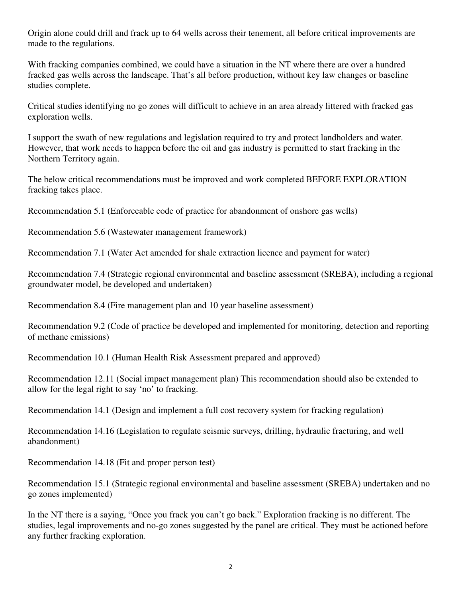Origin alone could drill and frack up to 64 wells across their tenement, all before critical improvements are made to the regulations.

With fracking companies combined, we could have a situation in the NT where there are over a hundred fracked gas wells across the landscape. That's all before production, without key law changes or baseline studies complete.

Critical studies identifying no go zones will difficult to achieve in an area already littered with fracked gas exploration wells.

I support the swath of new regulations and legislation required to try and protect landholders and water. However, that work needs to happen before the oil and gas industry is permitted to start fracking in the Northern Territory again.

The below critical recommendations must be improved and work completed BEFORE EXPLORATION fracking takes place.

Recommendation 5.1 (Enforceable code of practice for abandonment of onshore gas wells)

Recommendation 5.6 (Wastewater management framework)

Recommendation 7.1 (Water Act amended for shale extraction licence and payment for water)

Recommendation 7.4 (Strategic regional environmental and baseline assessment (SREBA), including a regional groundwater model, be developed and undertaken)

Recommendation 8.4 (Fire management plan and 10 year baseline assessment)

Recommendation 9.2 (Code of practice be developed and implemented for monitoring, detection and reporting of methane emissions)

Recommendation 10.1 (Human Health Risk Assessment prepared and approved)

Recommendation 12.11 (Social impact management plan) This recommendation should also be extended to allow for the legal right to say 'no' to fracking.

Recommendation 14.1 (Design and implement a full cost recovery system for fracking regulation)

Recommendation 14.16 (Legislation to regulate seismic surveys, drilling, hydraulic fracturing, and well abandonment)

Recommendation 14.18 (Fit and proper person test)

Recommendation 15.1 (Strategic regional environmental and baseline assessment (SREBA) undertaken and no go zones implemented)

In the NT there is a saying, "Once you frack you can't go back." Exploration fracking is no different. The studies, legal improvements and no-go zones suggested by the panel are critical. They must be actioned before any further fracking exploration.